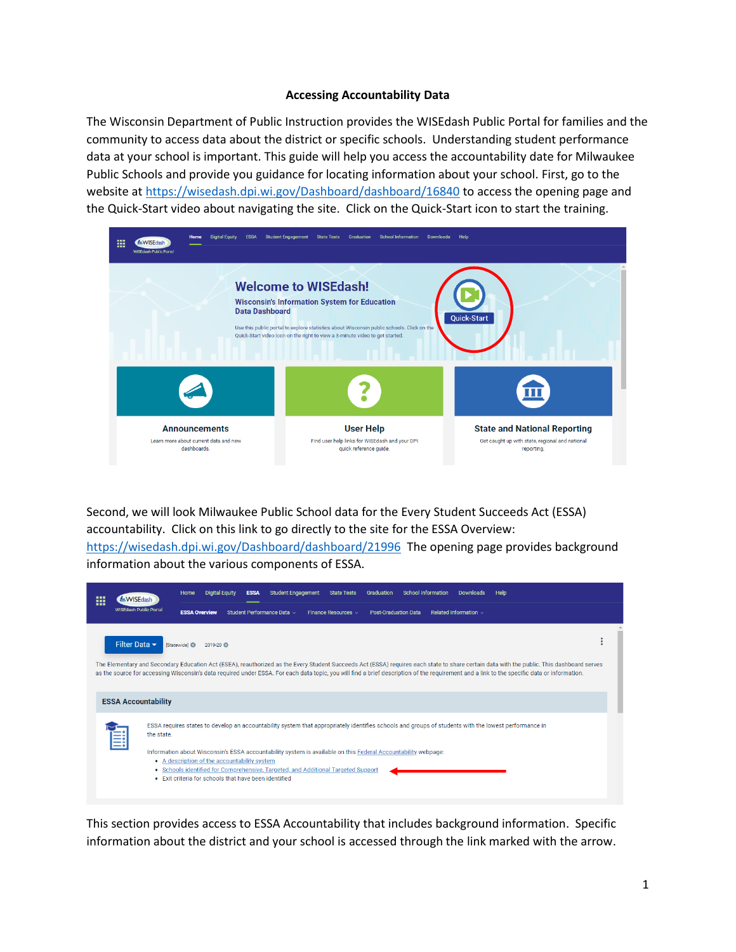#### **Accessing Accountability Data**

The Wisconsin Department of Public Instruction provides the WISEdash Public Portal for families and the community to access data about the district or specific schools. Understanding student performance data at your school is important. This guide will help you access the accountability date for Milwaukee Public Schools and provide you guidance for locating information about your school. First, go to the website at<https://wisedash.dpi.wi.gov/Dashboard/dashboard/16840> to access the opening page and the Quick-Start video about navigating the site. Click on the Quick-Start icon to start the training.

| 噩 | <b>NVISE</b> dash<br><b>WISEdash Public Portal</b> | Home                                                                         | <b>Digital Equity</b><br><b>ESSA</b> | <b>Student Engagement</b> | <b>State Tests</b><br>Graduation                                                                                                                                                                                                                                | <b>School Information</b> | <b>Downloads</b> | Help                                                                                                 |  |
|---|----------------------------------------------------|------------------------------------------------------------------------------|--------------------------------------|---------------------------|-----------------------------------------------------------------------------------------------------------------------------------------------------------------------------------------------------------------------------------------------------------------|---------------------------|------------------|------------------------------------------------------------------------------------------------------|--|
|   |                                                    |                                                                              |                                      | <b>Data Dashboard</b>     | <b>Welcome to WISEdash!</b><br><b>Wisconsin's Information System for Education</b><br>Use this public portal to explore statistics about Wisconsin public schools. Click on the<br>Quick-Start video icon on the right to view a 3-minute video to get started. |                           |                  | Quick-Start                                                                                          |  |
|   |                                                    |                                                                              |                                      |                           |                                                                                                                                                                                                                                                                 |                           |                  | 皿                                                                                                    |  |
|   |                                                    | <b>Announcements</b><br>Learn more about current data and new<br>dashboards. |                                      |                           | <b>User Help</b><br>Find user help links for WISEdash and your DPI<br>quick reference guide.                                                                                                                                                                    |                           |                  | <b>State and National Reporting</b><br>Get caught up with state, regional and national<br>reporting. |  |

Second, we will look Milwaukee Public School data for the Every Student Succeeds Act (ESSA) accountability. Click on this link to go directly to the site for the ESSA Overview: <https://wisedash.dpi.wi.gov/Dashboard/dashboard/21996>The opening page provides background information about the various components of ESSA.

| ₩ | <b>WISEdash Public Portal</b> | <b>Student Engagement</b><br><b>School Information</b><br>Home<br>Help<br><b>Digital Equity</b><br><b>State Tests</b><br>Graduation<br><b>ESSA</b><br>Downloads                                                                                                                                                                                                                          |  |  |  |  |  |
|---|-------------------------------|------------------------------------------------------------------------------------------------------------------------------------------------------------------------------------------------------------------------------------------------------------------------------------------------------------------------------------------------------------------------------------------|--|--|--|--|--|
|   |                               | Student Performance Data ><br><b>ESSA Overview</b><br>Finance Resources v<br><b>Post-Graduation Data</b><br>Related Information $\vee$                                                                                                                                                                                                                                                   |  |  |  |  |  |
|   | Filter Data $\sim$            | <b>Statewidel</b> <sup>®</sup><br>2019-20                                                                                                                                                                                                                                                                                                                                                |  |  |  |  |  |
|   |                               | The Elementary and Secondary Education Act (ESEA), reauthorized as the Every Student Succeeds Act (ESSA) requires each state to share certain data with the public. This dashboard serves<br>as the source for accessing Wisconsin's data required under ESSA. For each data topic, you will find a brief description of the requirement and a link to the specific data or information. |  |  |  |  |  |
|   | <b>ESSA Accountability</b>    |                                                                                                                                                                                                                                                                                                                                                                                          |  |  |  |  |  |
| 目 | the state.                    | ESSA requires states to develop an accountability system that appropriately identifies schools and groups of students with the lowest performance in                                                                                                                                                                                                                                     |  |  |  |  |  |
|   |                               | Information about Wisconsin's ESSA accountability system is available on this Federal Accountability webpage:<br>• A description of the accountability system<br>• Schools identified for Comprehensive, Targeted, and Additional Targeted Support<br>• Exit criteria for schools that have been identified                                                                              |  |  |  |  |  |
|   |                               |                                                                                                                                                                                                                                                                                                                                                                                          |  |  |  |  |  |

This section provides access to ESSA Accountability that includes background information. Specific information about the district and your school is accessed through the link marked with the arrow.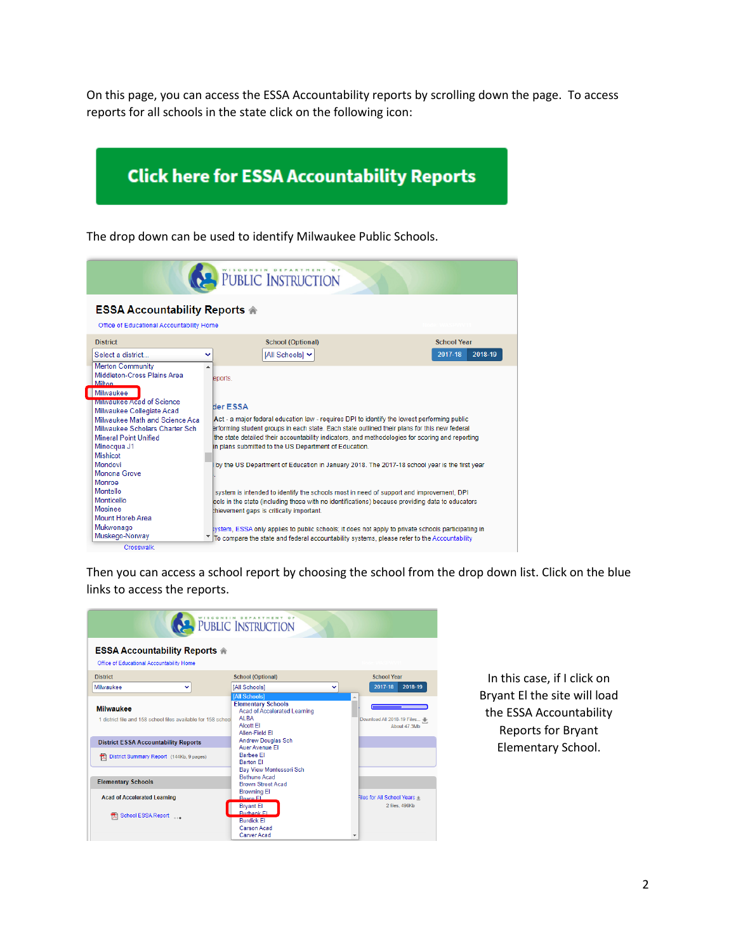On this page, you can access the ESSA Accountability reports by scrolling down the page. To access reports for all schools in the state click on the following icon:

# **Click here for ESSA Accountability Reports**

The drop down can be used to identify Milwaukee Public Schools.

| <b>PUBLIC INSTRUCTION</b>                                                                                                                                                                                                  |                                                                                                                                                                                                                                                                                                                                                                            |                    |  |  |  |  |  |
|----------------------------------------------------------------------------------------------------------------------------------------------------------------------------------------------------------------------------|----------------------------------------------------------------------------------------------------------------------------------------------------------------------------------------------------------------------------------------------------------------------------------------------------------------------------------------------------------------------------|--------------------|--|--|--|--|--|
| <b>ESSA Accountability Reports A</b><br>Office of Educational Accountability Home                                                                                                                                          |                                                                                                                                                                                                                                                                                                                                                                            |                    |  |  |  |  |  |
| <b>District</b>                                                                                                                                                                                                            | <b>School (Optional)</b>                                                                                                                                                                                                                                                                                                                                                   | <b>School Year</b> |  |  |  |  |  |
| Select a district                                                                                                                                                                                                          | [All Schools] ↓<br>v                                                                                                                                                                                                                                                                                                                                                       | 2017-18<br>2018-19 |  |  |  |  |  |
| <b>Merton Community</b><br>Middleton-Cross Plains Area<br><b>Milton</b>                                                                                                                                                    | eports.                                                                                                                                                                                                                                                                                                                                                                    |                    |  |  |  |  |  |
| <b>Nilwaukee</b><br><b>MINAUKEE Acad of Science</b><br>Milwaukee Collegiate Acad<br>Milwaukee Math and Science Aca<br>Milwaukee Scholars Charter Sch<br>Mineral Point Unified<br>Minocqua J1<br><b>Mishicot</b><br>Mondovi | <b>Her ESSA</b><br>Act - a major federal education law - requires DPI to identify the lowest performing public<br>erforming student groups in each state. Each state outlined their plans for this new federal<br>the state detailed their accountability indicators, and methodologies for scoring and reporting<br>in plans submitted to the US Department of Education. |                    |  |  |  |  |  |
| Monona Grove<br>Monroe<br>Montello                                                                                                                                                                                         | by the US Department of Education in January 2018. The 2017-18 school year is the first year                                                                                                                                                                                                                                                                               |                    |  |  |  |  |  |
| Monticello<br>Mosinee<br>Mount Horeb Area                                                                                                                                                                                  | system is intended to identify the schools most in need of support and improvement, DPI<br>pols in the state (including those with no identifications) because providing data to educators<br>thievement gaps is critically important.                                                                                                                                     |                    |  |  |  |  |  |
| Mukwonago<br>Muskego-Norway<br>Crosswalk.                                                                                                                                                                                  | ystem. ESSA only applies to public schools: it does not apply to private schools participating in<br>$^\tau$ $\;$ To compare the state and federal accountability systems, please refer to the Accountability                                                                                                                                                              |                    |  |  |  |  |  |

Then you can access a school report by choosing the school from the drop down list. Click on the blue links to access the reports.

|                                                                                                                                  | PUBLIC INSTRUCTION                                                                                                                                      |                                            |
|----------------------------------------------------------------------------------------------------------------------------------|---------------------------------------------------------------------------------------------------------------------------------------------------------|--------------------------------------------|
| <b>ESSA Accountability Reports A</b><br>Office of Educational Accountability Home                                                |                                                                                                                                                         |                                            |
| <b>District</b>                                                                                                                  | <b>School (Optional)</b>                                                                                                                                | <b>School Year</b>                         |
| Milwaukee<br>$\checkmark$                                                                                                        | <b>IAII Schools1</b>                                                                                                                                    | 2017-18<br>2018-19<br>v                    |
| <b>Milwaukee</b><br>1 district file and 158 school files available for 158 school<br><b>District ESSA Accountability Reports</b> | <b>Elementary Schools</b><br><b>Acad of Accelerated Learning</b><br>AI BA<br>Alcott El<br>Allen-Field Fl<br><b>Andrew Douglas Sch</b><br>Auer Avenue FI | Download All 2018-19 Files<br>About 47.3Mb |
| District Summary Report (144Kb, 9 pages)<br><b>Elementary Schools</b>                                                            | <b>Barbee El</b><br><b>Barton FI</b><br><b>Bay View Montessori Sch</b><br><b>Bethune Acad</b>                                                           |                                            |
| <b>Acad of Accelerated Learning</b>                                                                                              | <b>Brown Street Acad</b><br><b>Browning El</b><br><b>Bruce EL</b>                                                                                       | Files for All School Years                 |
| School ESSA Report                                                                                                               | <b>Brvant El</b><br><b>Burbank El</b><br><b>Burdick El</b><br>Carson Acad<br>Carver Acad                                                                | 2 files, 496Kb<br>v                        |

In this case, if I click on Bryant El the site will load the ESSA Accountability Reports for Bryant Elementary School.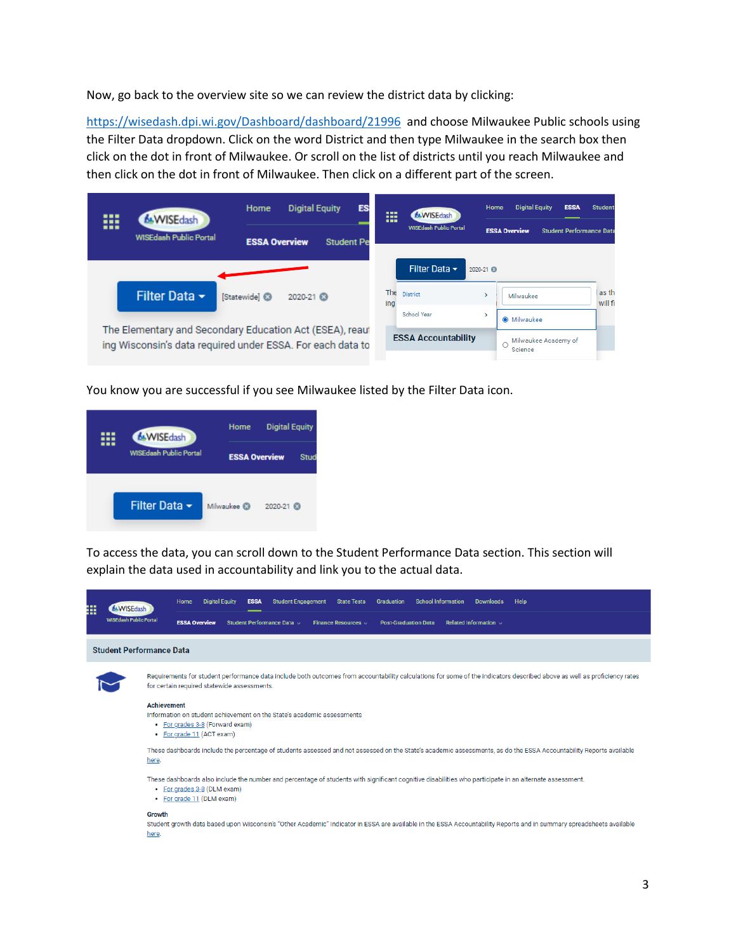Now, go back to the overview site so we can review the district data by clicking:

<https://wisedash.dpi.wi.gov/Dashboard/dashboard/21996>and choose Milwaukee Public schools using the Filter Data dropdown. Click on the word District and then type Milwaukee in the search box then click on the dot in front of Milwaukee. Or scroll on the list of districts until you reach Milwaukee and then click on the dot in front of Milwaukee. Then click on a different part of the screen.

| ₩ | <b>WISE</b> dash                                                                                                       | <b>Digital Equity</b><br><b>ES:</b><br>Home |                                           |  | 88<br>---  | <b>6.WISEdash</b>             | Home      | <b>Digital Equity</b>                                   | <b>ESSA</b>          | <b>Student</b>   |
|---|------------------------------------------------------------------------------------------------------------------------|---------------------------------------------|-------------------------------------------|--|------------|-------------------------------|-----------|---------------------------------------------------------|----------------------|------------------|
|   | <b>WISEdash Public Portal</b>                                                                                          |                                             | <b>ESSA Overview</b><br><b>Student Pe</b> |  |            | <b>WISEdash Public Portal</b> |           | <b>ESSA Overview</b><br><b>Student Performance Data</b> |                      |                  |
|   |                                                                                                                        |                                             |                                           |  |            | Filter Data $\sim$            | 2020-21 3 |                                                         |                      |                  |
|   | Filter Data $\sim$                                                                                                     | <b>Statewidel</b> <sup>3</sup>              | 2020-21                                   |  | The<br>ina | <b>District</b>               |           | Milwaukee                                               |                      | as th<br>will fi |
|   |                                                                                                                        |                                             |                                           |  |            | School Year                   | >         | <b>O</b> Milwaukee                                      |                      |                  |
|   | The Elementary and Secondary Education Act (ESEA), reaut<br>ing Wisconsin's data required under ESSA. For each data to |                                             |                                           |  |            | <b>ESSA Accountability</b>    |           | Science                                                 | Milwaukee Academy of |                  |

You know you are successful if you see Milwaukee listed by the Filter Data icon.



To access the data, you can scroll down to the Student Performance Data section. This section will explain the data used in accountability and link you to the actual data.

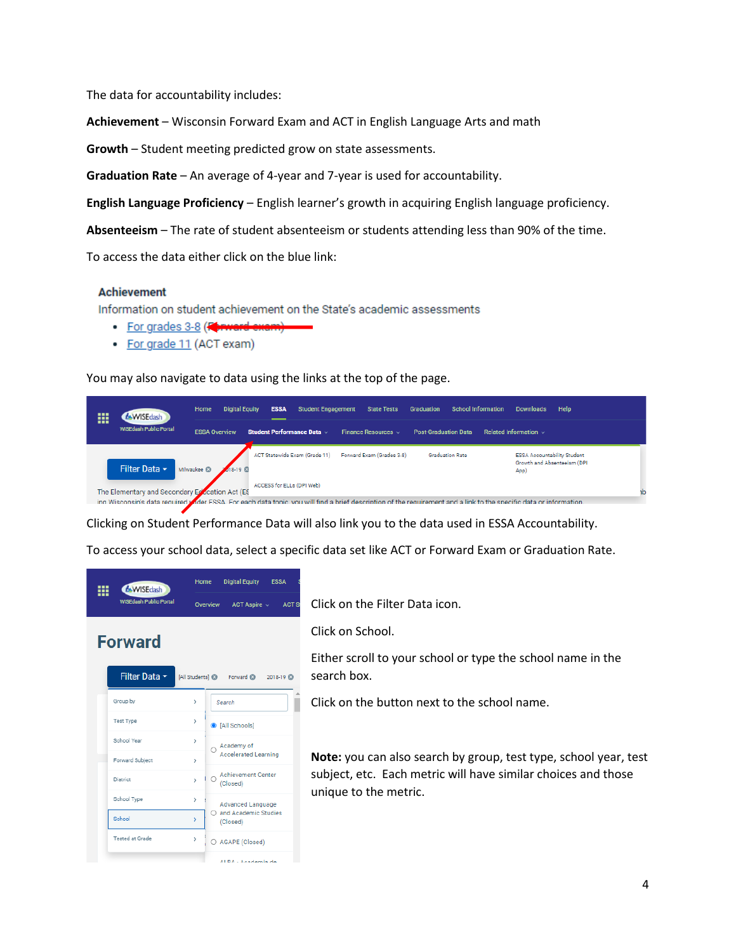The data for accountability includes:

**Achievement** – Wisconsin Forward Exam and ACT in English Language Arts and math

**Growth** – Student meeting predicted grow on state assessments.

**Graduation Rate** – An average of 4-year and 7-year is used for accountability.

**English Language Proficiency** – English learner's growth in acquiring English language proficiency.

**Absenteeism** – The rate of student absenteeism or students attending less than 90% of the time.

To access the data either click on the blue link:

#### **Achievement**

Information on student achievement on the State's academic assessments

- For grades 3-8 (Karward
- For grade 11 (ACT exam)

You may also navigate to data using the links at the top of the page.



Clicking on Student Performance Data will also link you to the data used in ESSA Accountability.

To access your school data, select a specific data set like ACT or Forward Exam or Graduation Rate.

| <b>6.WISEdash</b><br><b>WISEdash Public Portal</b> |                        | Home<br>Overview  |  | <b>Digital Equity</b>                 | <b>ESSA</b>   |  |  |  |
|----------------------------------------------------|------------------------|-------------------|--|---------------------------------------|---------------|--|--|--|
|                                                    |                        |                   |  | ACT Aspire $\sim$                     | <b>ACT St</b> |  |  |  |
|                                                    | <b>Forward</b>         |                   |  |                                       |               |  |  |  |
|                                                    | Filter Data ~          |                   |  | [All Students] @ Forward @ 2018-19 @  |               |  |  |  |
|                                                    | Group by               | >                 |  | Search                                |               |  |  |  |
|                                                    | <b>Test Type</b>       | >                 |  | C [All Schools]                       |               |  |  |  |
|                                                    | School Year            | $\mathbf{\hat{}}$ |  | Academy of                            |               |  |  |  |
|                                                    | Forward Subject        | >                 |  | <b>Accelerated Learning</b>           |               |  |  |  |
|                                                    | <b>District</b>        | $\mathbf{r}$      |  | <b>Achievement Center</b><br>(Closed) |               |  |  |  |
|                                                    | School Type            | Ŷ.                |  | <b>Advanced Language</b>              |               |  |  |  |
|                                                    | School                 | s                 |  | O and Academic Studies<br>(Closed)    |               |  |  |  |
|                                                    | <b>Tested at Grade</b> | $\mathcal{P}$     |  | O AGAPE (Closed)                      |               |  |  |  |
|                                                    |                        |                   |  | ALRA - Academia de                    |               |  |  |  |

Click on the Filter Data icon.

Click on School.

Either scroll to your school or type the school name in the search box.

Click on the button next to the school name.

**Note:** you can also search by group, test type, school year, test subject, etc. Each metric will have similar choices and those unique to the metric.